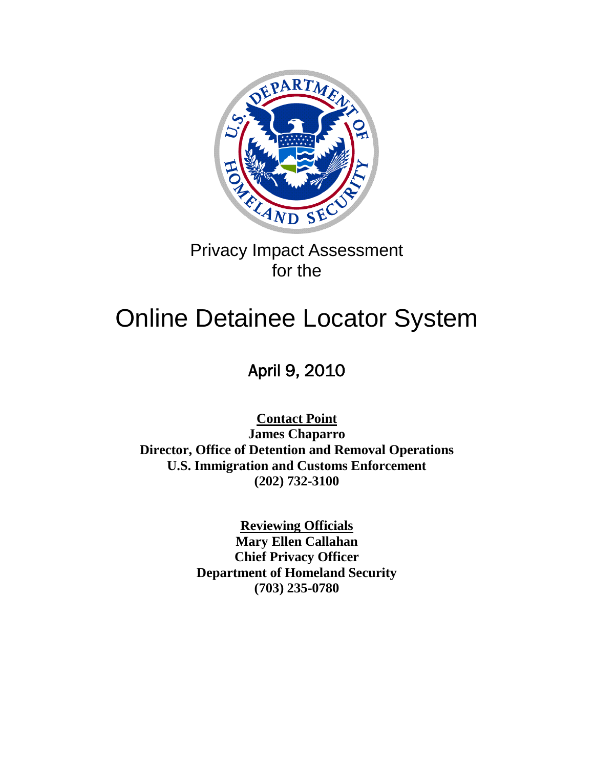

# Privacy Impact Assessment for the

# Online Detainee Locator System

# April 9, 2010

**Contact Point James Chaparro Director, Office of Detention and Removal Operations U.S. Immigration and Customs Enforcement (202) 732-3100**

> **Reviewing Officials Mary Ellen Callahan Chief Privacy Officer Department of Homeland Security (703) 235-0780**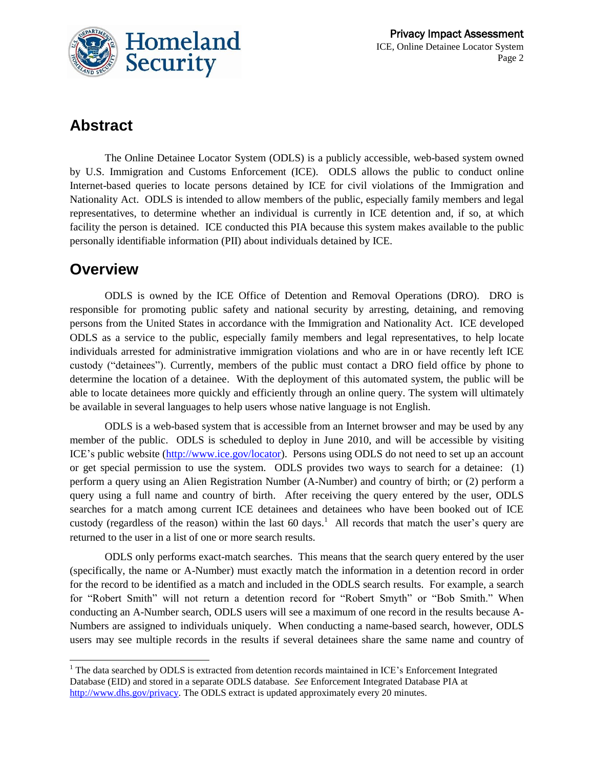

# **Abstract**

The Online Detainee Locator System (ODLS) is a publicly accessible, web-based system owned by U.S. Immigration and Customs Enforcement (ICE). ODLS allows the public to conduct online Internet-based queries to locate persons detained by ICE for civil violations of the Immigration and Nationality Act. ODLS is intended to allow members of the public, especially family members and legal representatives, to determine whether an individual is currently in ICE detention and, if so, at which facility the person is detained. ICE conducted this PIA because this system makes available to the public personally identifiable information (PII) about individuals detained by ICE.

### **Overview**

ODLS is owned by the ICE Office of Detention and Removal Operations (DRO). DRO is responsible for promoting public safety and national security by arresting, detaining, and removing persons from the United States in accordance with the Immigration and Nationality Act. ICE developed ODLS as a service to the public, especially family members and legal representatives, to help locate individuals arrested for administrative immigration violations and who are in or have recently left ICE custody ("detainees"). Currently, members of the public must contact a DRO field office by phone to determine the location of a detainee. With the deployment of this automated system, the public will be able to locate detainees more quickly and efficiently through an online query. The system will ultimately be available in several languages to help users whose native language is not English.

ODLS is a web-based system that is accessible from an Internet browser and may be used by any member of the public. ODLS is scheduled to deploy in June 2010, and will be accessible by visiting ICE's public website [\(http://www.ice.gov/locator\)](http://www.ice.gov/locator). Persons using ODLS do not need to set up an account or get special permission to use the system. ODLS provides two ways to search for a detainee: (1) perform a query using an Alien Registration Number (A-Number) and country of birth; or (2) perform a query using a full name and country of birth. After receiving the query entered by the user, ODLS searches for a match among current ICE detainees and detainees who have been booked out of ICE custody (regardless of the reason) within the last 60 days.<sup>1</sup> All records that match the user's query are returned to the user in a list of one or more search results.

ODLS only performs exact-match searches. This means that the search query entered by the user (specifically, the name or A-Number) must exactly match the information in a detention record in order for the record to be identified as a match and included in the ODLS search results. For example, a search for "Robert Smith" will not return a detention record for "Robert Smyth" or "Bob Smith." When conducting an A-Number search, ODLS users will see a maximum of one record in the results because A-Numbers are assigned to individuals uniquely. When conducting a name-based search, however, ODLS users may see multiple records in the results if several detainees share the same name and country of

l <sup>1</sup> The data searched by ODLS is extracted from detention records maintained in ICE's Enforcement Integrated Database (EID) and stored in a separate ODLS database. *See* Enforcement Integrated Database PIA at [http://www.dhs.gov/privacy.](http://www.dhs.gov/privacy) The ODLS extract is updated approximately every 20 minutes.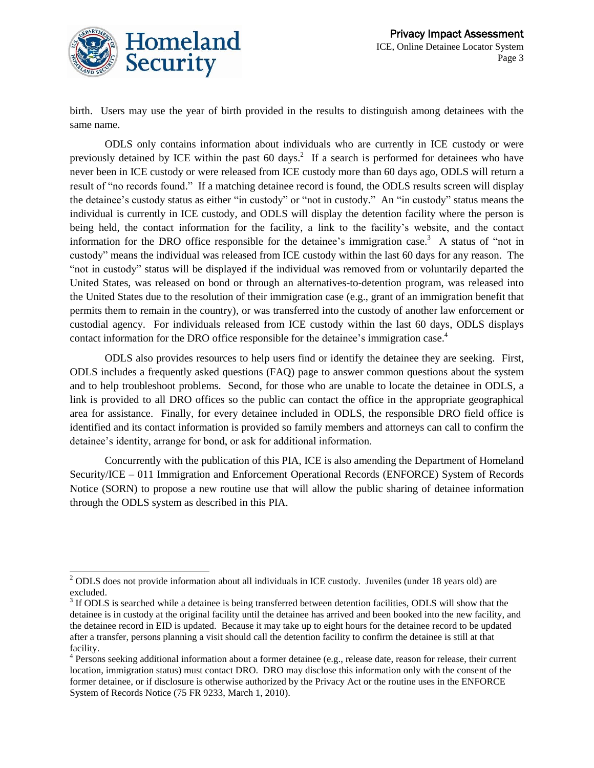

 $\overline{a}$ 

birth. Users may use the year of birth provided in the results to distinguish among detainees with the same name.

ODLS only contains information about individuals who are currently in ICE custody or were previously detained by ICE within the past 60 days.<sup>2</sup> If a search is performed for detainees who have never been in ICE custody or were released from ICE custody more than 60 days ago, ODLS will return a result of "no records found." If a matching detainee record is found, the ODLS results screen will display the detainee's custody status as either "in custody" or "not in custody." An "in custody" status means the individual is currently in ICE custody, and ODLS will display the detention facility where the person is being held, the contact information for the facility, a link to the facility's website, and the contact information for the DRO office responsible for the detainee's immigration case.<sup>3</sup> A status of "not in custody" means the individual was released from ICE custody within the last 60 days for any reason. The "not in custody" status will be displayed if the individual was removed from or voluntarily departed the United States, was released on bond or through an alternatives-to-detention program, was released into the United States due to the resolution of their immigration case (e.g., grant of an immigration benefit that permits them to remain in the country), or was transferred into the custody of another law enforcement or custodial agency. For individuals released from ICE custody within the last 60 days, ODLS displays contact information for the DRO office responsible for the detainee's immigration case.<sup>4</sup>

ODLS also provides resources to help users find or identify the detainee they are seeking. First, ODLS includes a frequently asked questions (FAQ) page to answer common questions about the system and to help troubleshoot problems. Second, for those who are unable to locate the detainee in ODLS, a link is provided to all DRO offices so the public can contact the office in the appropriate geographical area for assistance. Finally, for every detainee included in ODLS, the responsible DRO field office is identified and its contact information is provided so family members and attorneys can call to confirm the detainee's identity, arrange for bond, or ask for additional information.

Concurrently with the publication of this PIA, ICE is also amending the Department of Homeland Security/ICE – 011 Immigration and Enforcement Operational Records (ENFORCE) System of Records Notice (SORN) to propose a new routine use that will allow the public sharing of detainee information through the ODLS system as described in this PIA.

 $2$  ODLS does not provide information about all individuals in ICE custody. Juveniles (under 18 years old) are excluded.

 $3$  If ODLS is searched while a detainee is being transferred between detention facilities, ODLS will show that the detainee is in custody at the original facility until the detainee has arrived and been booked into the new facility, and the detainee record in EID is updated. Because it may take up to eight hours for the detainee record to be updated after a transfer, persons planning a visit should call the detention facility to confirm the detainee is still at that facility.

<sup>&</sup>lt;sup>4</sup> Persons seeking additional information about a former detainee (e.g., release date, reason for release, their current location, immigration status) must contact DRO. DRO may disclose this information only with the consent of the former detainee, or if disclosure is otherwise authorized by the Privacy Act or the routine uses in the ENFORCE System of Records Notice (75 FR 9233, March 1, 2010).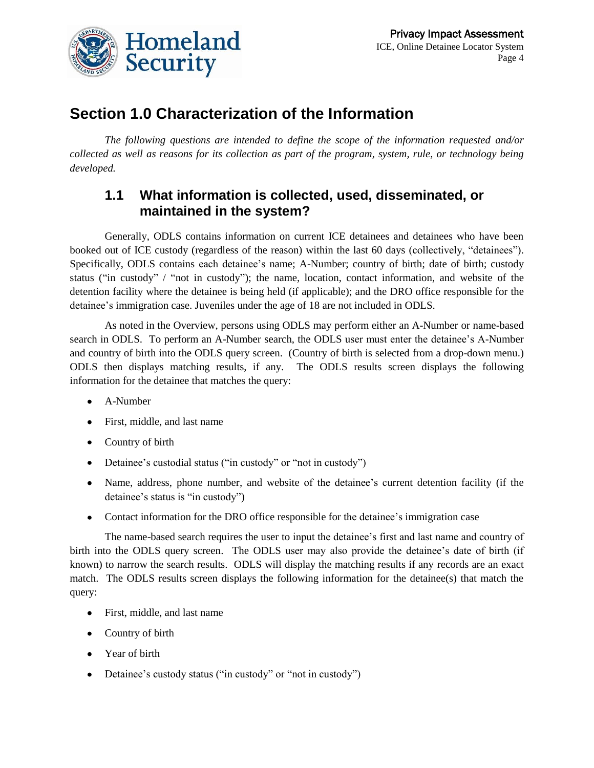

# **Section 1.0 Characterization of the Information**

*The following questions are intended to define the scope of the information requested and/or collected as well as reasons for its collection as part of the program, system, rule, or technology being developed.* 

#### **1.1 What information is collected, used, disseminated, or maintained in the system?**

Generally, ODLS contains information on current ICE detainees and detainees who have been booked out of ICE custody (regardless of the reason) within the last 60 days (collectively, "detainees"). Specifically, ODLS contains each detainee's name; A-Number; country of birth; date of birth; custody status ("in custody" / "not in custody"); the name, location, contact information, and website of the detention facility where the detainee is being held (if applicable); and the DRO office responsible for the detainee's immigration case. Juveniles under the age of 18 are not included in ODLS.

As noted in the Overview, persons using ODLS may perform either an A-Number or name-based search in ODLS. To perform an A-Number search, the ODLS user must enter the detainee's A-Number and country of birth into the ODLS query screen. (Country of birth is selected from a drop-down menu.) ODLS then displays matching results, if any. The ODLS results screen displays the following information for the detainee that matches the query:

- A-Number
- First, middle, and last name
- Country of birth
- Detainee's custodial status ("in custody" or "not in custody")
- Name, address, phone number, and website of the detainee's current detention facility (if the detainee's status is "in custody")
- Contact information for the DRO office responsible for the detainee's immigration case

The name-based search requires the user to input the detainee's first and last name and country of birth into the ODLS query screen. The ODLS user may also provide the detainee's date of birth (if known) to narrow the search results. ODLS will display the matching results if any records are an exact match. The ODLS results screen displays the following information for the detainee(s) that match the query:

- First, middle, and last name
- Country of birth
- Year of birth
- Detainee's custody status ("in custody" or "not in custody")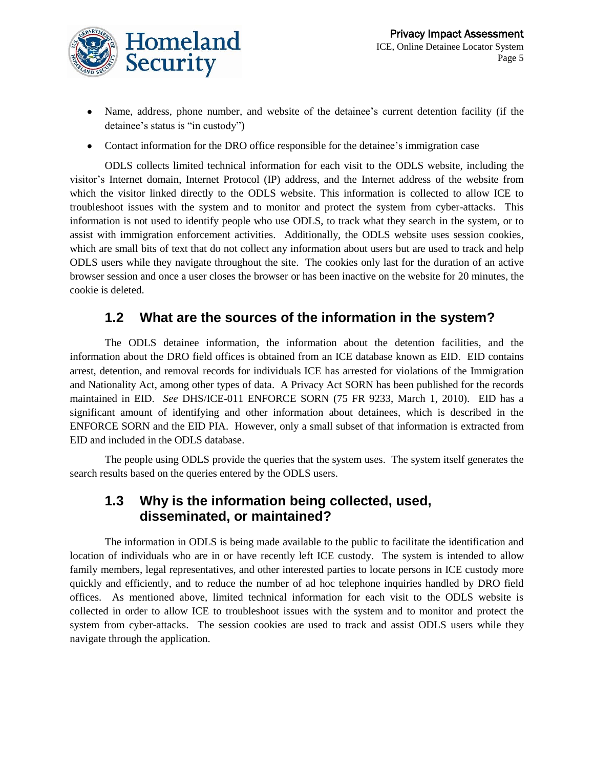

- Name, address, phone number, and website of the detainee's current detention facility (if the detainee's status is "in custody")
- Contact information for the DRO office responsible for the detainee's immigration case

ODLS collects limited technical information for each visit to the ODLS website, including the visitor's Internet domain, Internet Protocol (IP) address, and the Internet address of the website from which the visitor linked directly to the ODLS website. This information is collected to allow ICE to troubleshoot issues with the system and to monitor and protect the system from cyber-attacks. This information is not used to identify people who use ODLS, to track what they search in the system, or to assist with immigration enforcement activities. Additionally, the ODLS website uses session cookies, which are small bits of text that do not collect any information about users but are used to track and help ODLS users while they navigate throughout the site. The cookies only last for the duration of an active browser session and once a user closes the browser or has been inactive on the website for 20 minutes, the cookie is deleted.

#### **1.2 What are the sources of the information in the system?**

The ODLS detainee information, the information about the detention facilities, and the information about the DRO field offices is obtained from an ICE database known as EID. EID contains arrest, detention, and removal records for individuals ICE has arrested for violations of the Immigration and Nationality Act, among other types of data. A Privacy Act SORN has been published for the records maintained in EID. *See* DHS/ICE-011 ENFORCE SORN (75 FR 9233, March 1, 2010). EID has a significant amount of identifying and other information about detainees, which is described in the ENFORCE SORN and the EID PIA. However, only a small subset of that information is extracted from EID and included in the ODLS database.

The people using ODLS provide the queries that the system uses. The system itself generates the search results based on the queries entered by the ODLS users.

#### **1.3 Why is the information being collected, used, disseminated, or maintained?**

The information in ODLS is being made available to the public to facilitate the identification and location of individuals who are in or have recently left ICE custody. The system is intended to allow family members, legal representatives, and other interested parties to locate persons in ICE custody more quickly and efficiently, and to reduce the number of ad hoc telephone inquiries handled by DRO field offices. As mentioned above, limited technical information for each visit to the ODLS website is collected in order to allow ICE to troubleshoot issues with the system and to monitor and protect the system from cyber-attacks. The session cookies are used to track and assist ODLS users while they navigate through the application.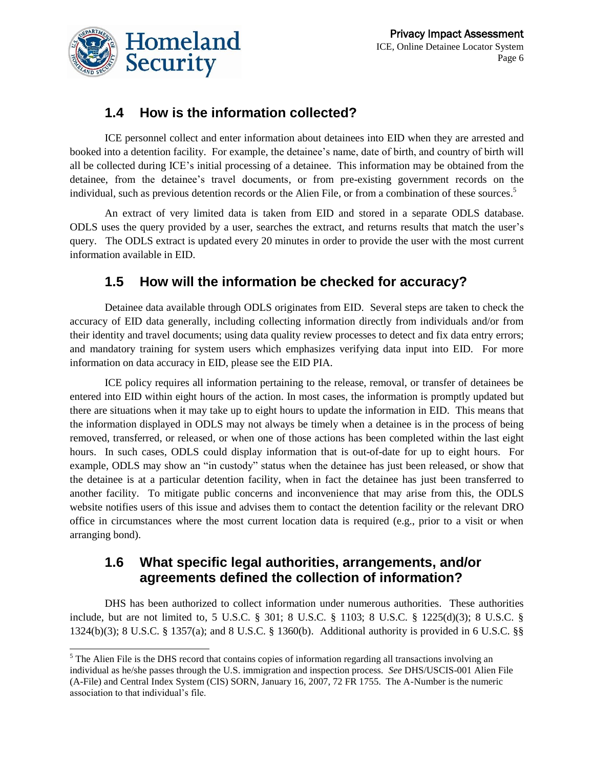

 $\overline{a}$ 

### **1.4 How is the information collected?**

ICE personnel collect and enter information about detainees into EID when they are arrested and booked into a detention facility. For example, the detainee's name, date of birth, and country of birth will all be collected during ICE's initial processing of a detainee. This information may be obtained from the detainee, from the detainee's travel documents, or from pre-existing government records on the individual, such as previous detention records or the Alien File, or from a combination of these sources. 5

An extract of very limited data is taken from EID and stored in a separate ODLS database. ODLS uses the query provided by a user, searches the extract, and returns results that match the user's query. The ODLS extract is updated every 20 minutes in order to provide the user with the most current information available in EID.

#### **1.5 How will the information be checked for accuracy?**

Detainee data available through ODLS originates from EID. Several steps are taken to check the accuracy of EID data generally, including collecting information directly from individuals and/or from their identity and travel documents; using data quality review processes to detect and fix data entry errors; and mandatory training for system users which emphasizes verifying data input into EID. For more information on data accuracy in EID, please see the EID PIA.

ICE policy requires all information pertaining to the release, removal, or transfer of detainees be entered into EID within eight hours of the action. In most cases, the information is promptly updated but there are situations when it may take up to eight hours to update the information in EID. This means that the information displayed in ODLS may not always be timely when a detainee is in the process of being removed, transferred, or released, or when one of those actions has been completed within the last eight hours. In such cases, ODLS could display information that is out-of-date for up to eight hours. For example, ODLS may show an "in custody" status when the detainee has just been released, or show that the detainee is at a particular detention facility, when in fact the detainee has just been transferred to another facility. To mitigate public concerns and inconvenience that may arise from this, the ODLS website notifies users of this issue and advises them to contact the detention facility or the relevant DRO office in circumstances where the most current location data is required (e.g., prior to a visit or when arranging bond).

#### **1.6 What specific legal authorities, arrangements, and/or agreements defined the collection of information?**

DHS has been authorized to collect information under numerous authorities. These authorities include, but are not limited to, 5 U.S.C. § 301; 8 U.S.C. § 1103; 8 U.S.C. § 1225(d)(3); 8 U.S.C. § 1324(b)(3); 8 U.S.C. § 1357(a); and 8 U.S.C. § 1360(b). Additional authority is provided in 6 U.S.C. §§

<sup>&</sup>lt;sup>5</sup> The Alien File is the DHS record that contains copies of information regarding all transactions involving an individual as he/she passes through the U.S. immigration and inspection process. *See* DHS/USCIS-001 Alien File (A-File) and Central Index System (CIS) SORN, January 16, 2007, 72 FR 1755. The A-Number is the numeric association to that individual's file.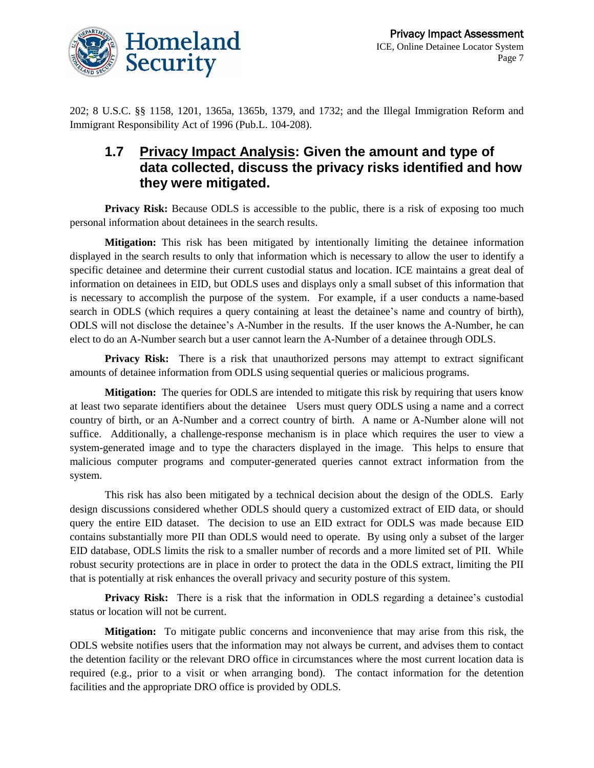

202; 8 U.S.C. §§ 1158, 1201, 1365a, 1365b, 1379, and 1732; and the Illegal Immigration Reform and Immigrant Responsibility Act of 1996 (Pub.L. 104-208).

#### **1.7 Privacy Impact Analysis: Given the amount and type of data collected, discuss the privacy risks identified and how they were mitigated.**

**Privacy Risk:** Because ODLS is accessible to the public, there is a risk of exposing too much personal information about detainees in the search results.

**Mitigation:** This risk has been mitigated by intentionally limiting the detainee information displayed in the search results to only that information which is necessary to allow the user to identify a specific detainee and determine their current custodial status and location. ICE maintains a great deal of information on detainees in EID, but ODLS uses and displays only a small subset of this information that is necessary to accomplish the purpose of the system. For example, if a user conducts a name-based search in ODLS (which requires a query containing at least the detainee's name and country of birth), ODLS will not disclose the detainee's A-Number in the results. If the user knows the A-Number, he can elect to do an A-Number search but a user cannot learn the A-Number of a detainee through ODLS.

**Privacy Risk:** There is a risk that unauthorized persons may attempt to extract significant amounts of detainee information from ODLS using sequential queries or malicious programs.

**Mitigation:** The queries for ODLS are intended to mitigate this risk by requiring that users know at least two separate identifiers about the detainee Users must query ODLS using a name and a correct country of birth, or an A-Number and a correct country of birth. A name or A-Number alone will not suffice. Additionally, a challenge-response mechanism is in place which requires the user to view a system-generated image and to type the characters displayed in the image. This helps to ensure that malicious computer programs and computer-generated queries cannot extract information from the system.

This risk has also been mitigated by a technical decision about the design of the ODLS. Early design discussions considered whether ODLS should query a customized extract of EID data, or should query the entire EID dataset. The decision to use an EID extract for ODLS was made because EID contains substantially more PII than ODLS would need to operate. By using only a subset of the larger EID database, ODLS limits the risk to a smaller number of records and a more limited set of PII. While robust security protections are in place in order to protect the data in the ODLS extract, limiting the PII that is potentially at risk enhances the overall privacy and security posture of this system.

**Privacy Risk:** There is a risk that the information in ODLS regarding a detainee's custodial status or location will not be current.

**Mitigation:** To mitigate public concerns and inconvenience that may arise from this risk, the ODLS website notifies users that the information may not always be current, and advises them to contact the detention facility or the relevant DRO office in circumstances where the most current location data is required (e.g., prior to a visit or when arranging bond). The contact information for the detention facilities and the appropriate DRO office is provided by ODLS.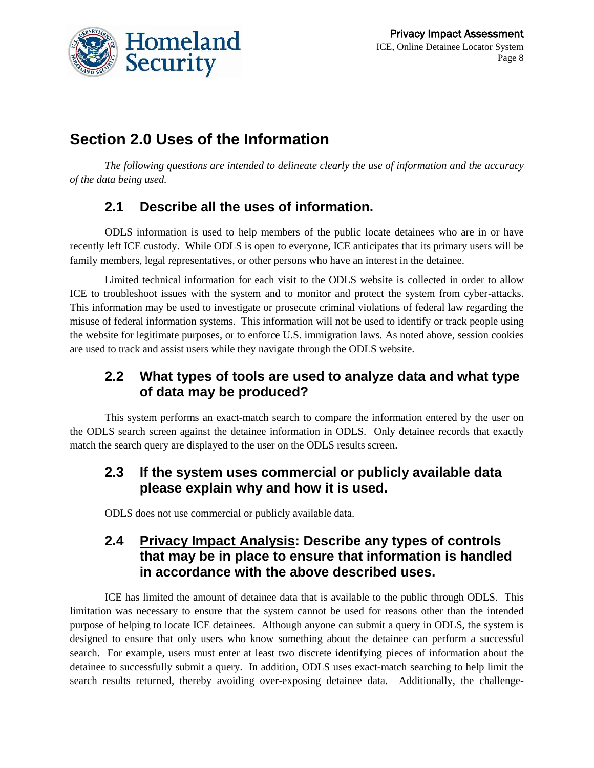

# **Section 2.0 Uses of the Information**

*The following questions are intended to delineate clearly the use of information and the accuracy of the data being used.* 

### **2.1 Describe all the uses of information.**

ODLS information is used to help members of the public locate detainees who are in or have recently left ICE custody. While ODLS is open to everyone, ICE anticipates that its primary users will be family members, legal representatives, or other persons who have an interest in the detainee.

Limited technical information for each visit to the ODLS website is collected in order to allow ICE to troubleshoot issues with the system and to monitor and protect the system from cyber-attacks. This information may be used to investigate or prosecute criminal violations of federal law regarding the misuse of federal information systems. This information will not be used to identify or track people using the website for legitimate purposes, or to enforce U.S. immigration laws. As noted above, session cookies are used to track and assist users while they navigate through the ODLS website.

#### **2.2 What types of tools are used to analyze data and what type of data may be produced?**

This system performs an exact-match search to compare the information entered by the user on the ODLS search screen against the detainee information in ODLS. Only detainee records that exactly match the search query are displayed to the user on the ODLS results screen.

#### **2.3 If the system uses commercial or publicly available data please explain why and how it is used.**

ODLS does not use commercial or publicly available data.

#### **2.4 Privacy Impact Analysis: Describe any types of controls that may be in place to ensure that information is handled in accordance with the above described uses.**

ICE has limited the amount of detainee data that is available to the public through ODLS. This limitation was necessary to ensure that the system cannot be used for reasons other than the intended purpose of helping to locate ICE detainees. Although anyone can submit a query in ODLS, the system is designed to ensure that only users who know something about the detainee can perform a successful search. For example, users must enter at least two discrete identifying pieces of information about the detainee to successfully submit a query. In addition, ODLS uses exact-match searching to help limit the search results returned, thereby avoiding over-exposing detainee data. Additionally, the challenge-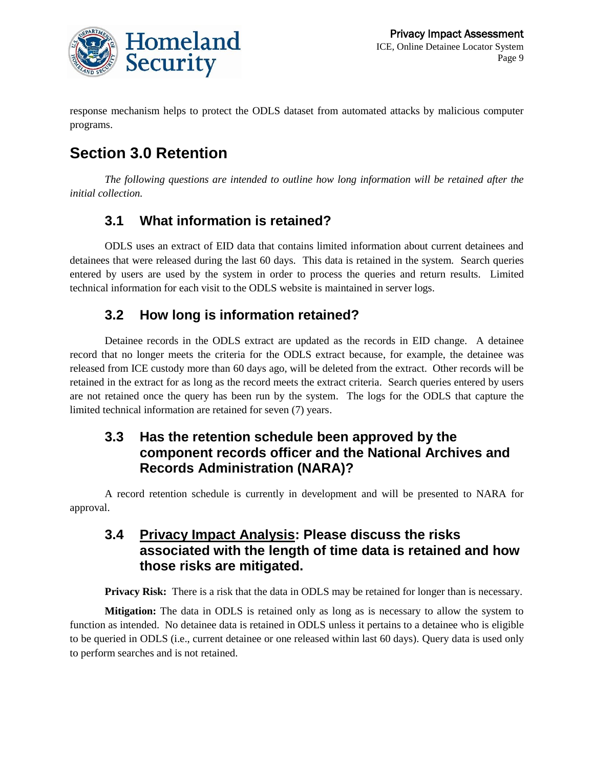

response mechanism helps to protect the ODLS dataset from automated attacks by malicious computer programs.

# **Section 3.0 Retention**

*The following questions are intended to outline how long information will be retained after the initial collection.*

### **3.1 What information is retained?**

ODLS uses an extract of EID data that contains limited information about current detainees and detainees that were released during the last 60 days. This data is retained in the system. Search queries entered by users are used by the system in order to process the queries and return results. Limited technical information for each visit to the ODLS website is maintained in server logs.

### **3.2 How long is information retained?**

Detainee records in the ODLS extract are updated as the records in EID change. A detainee record that no longer meets the criteria for the ODLS extract because, for example, the detainee was released from ICE custody more than 60 days ago, will be deleted from the extract. Other records will be retained in the extract for as long as the record meets the extract criteria. Search queries entered by users are not retained once the query has been run by the system. The logs for the ODLS that capture the limited technical information are retained for seven (7) years.

#### **3.3 Has the retention schedule been approved by the component records officer and the National Archives and Records Administration (NARA)?**

A record retention schedule is currently in development and will be presented to NARA for approval.

#### **3.4 Privacy Impact Analysis: Please discuss the risks associated with the length of time data is retained and how those risks are mitigated.**

**Privacy Risk:** There is a risk that the data in ODLS may be retained for longer than is necessary.

**Mitigation:** The data in ODLS is retained only as long as is necessary to allow the system to function as intended. No detainee data is retained in ODLS unless it pertains to a detainee who is eligible to be queried in ODLS (i.e., current detainee or one released within last 60 days). Query data is used only to perform searches and is not retained.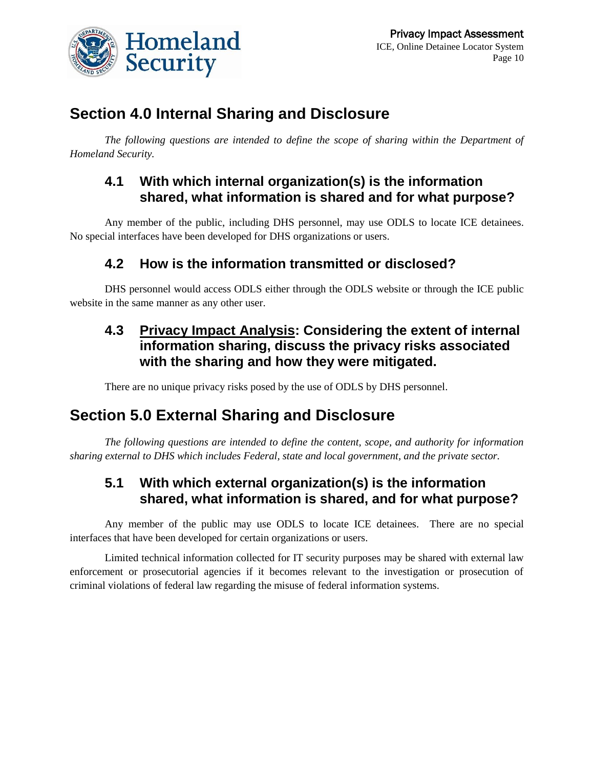

# **Section 4.0 Internal Sharing and Disclosure**

*The following questions are intended to define the scope of sharing within the Department of Homeland Security.*

#### **4.1 With which internal organization(s) is the information shared, what information is shared and for what purpose?**

Any member of the public, including DHS personnel, may use ODLS to locate ICE detainees. No special interfaces have been developed for DHS organizations or users.

#### **4.2 How is the information transmitted or disclosed?**

DHS personnel would access ODLS either through the ODLS website or through the ICE public website in the same manner as any other user.

#### **4.3 Privacy Impact Analysis: Considering the extent of internal information sharing, discuss the privacy risks associated with the sharing and how they were mitigated.**

There are no unique privacy risks posed by the use of ODLS by DHS personnel.

### **Section 5.0 External Sharing and Disclosure**

*The following questions are intended to define the content, scope, and authority for information sharing external to DHS which includes Federal, state and local government, and the private sector.*

#### **5.1 With which external organization(s) is the information shared, what information is shared, and for what purpose?**

Any member of the public may use ODLS to locate ICE detainees. There are no special interfaces that have been developed for certain organizations or users.

Limited technical information collected for IT security purposes may be shared with external law enforcement or prosecutorial agencies if it becomes relevant to the investigation or prosecution of criminal violations of federal law regarding the misuse of federal information systems.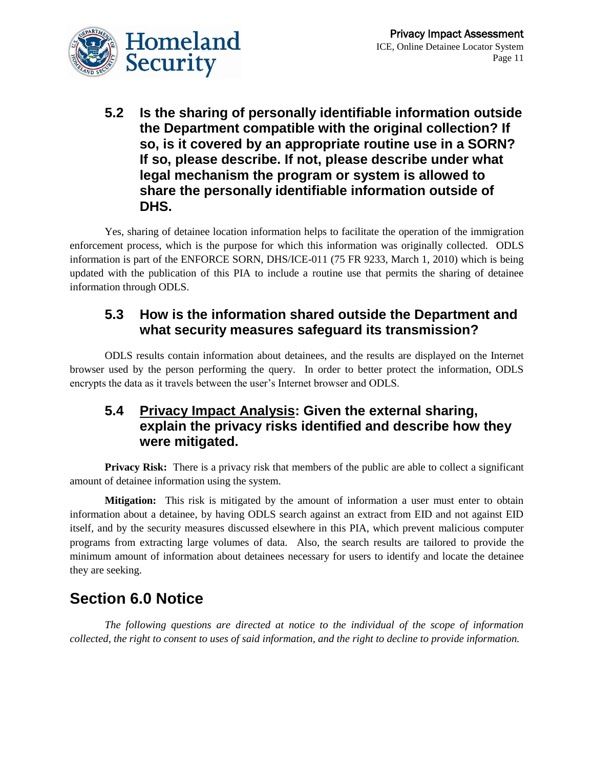

**5.2 Is the sharing of personally identifiable information outside the Department compatible with the original collection? If so, is it covered by an appropriate routine use in a SORN? If so, please describe. If not, please describe under what legal mechanism the program or system is allowed to share the personally identifiable information outside of DHS.**

Yes, sharing of detainee location information helps to facilitate the operation of the immigration enforcement process, which is the purpose for which this information was originally collected. ODLS information is part of the ENFORCE SORN, DHS/ICE-011 (75 FR 9233, March 1, 2010) which is being updated with the publication of this PIA to include a routine use that permits the sharing of detainee information through ODLS.

#### **5.3 How is the information shared outside the Department and what security measures safeguard its transmission?**

ODLS results contain information about detainees, and the results are displayed on the Internet browser used by the person performing the query. In order to better protect the information, ODLS encrypts the data as it travels between the user's Internet browser and ODLS.

#### **5.4 Privacy Impact Analysis: Given the external sharing, explain the privacy risks identified and describe how they were mitigated.**

**Privacy Risk:** There is a privacy risk that members of the public are able to collect a significant amount of detainee information using the system.

**Mitigation:** This risk is mitigated by the amount of information a user must enter to obtain information about a detainee, by having ODLS search against an extract from EID and not against EID itself, and by the security measures discussed elsewhere in this PIA, which prevent malicious computer programs from extracting large volumes of data.Also, the search results are tailored to provide the minimum amount of information about detainees necessary for users to identify and locate the detainee they are seeking.

## **Section 6.0 Notice**

*The following questions are directed at notice to the individual of the scope of information collected, the right to consent to uses of said information, and the right to decline to provide information.*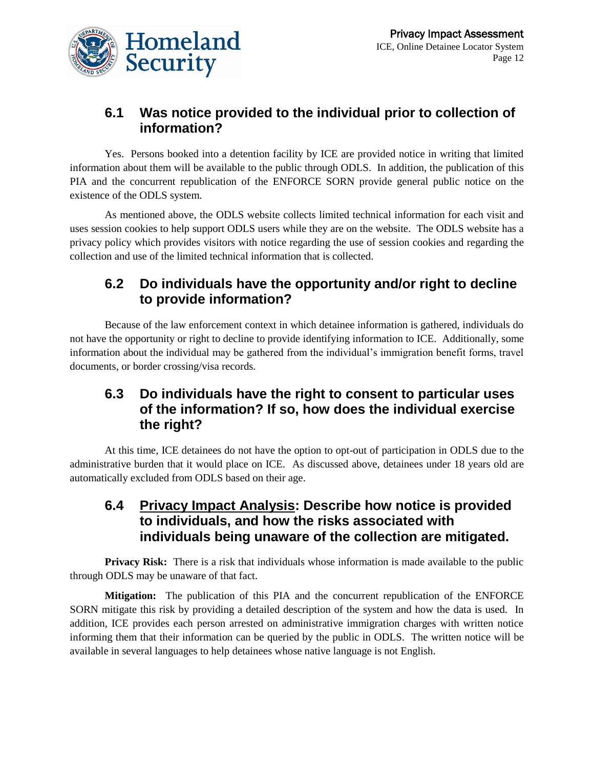

#### **6.1 Was notice provided to the individual prior to collection of information?**

Yes. Persons booked into a detention facility by ICE are provided notice in writing that limited information about them will be available to the public through ODLS. In addition, the publication of this PIA and the concurrent republication of the ENFORCE SORN provide general public notice on the existence of the ODLS system.

As mentioned above, the ODLS website collects limited technical information for each visit and uses session cookies to help support ODLS users while they are on the website. The ODLS website has a privacy policy which provides visitors with notice regarding the use of session cookies and regarding the collection and use of the limited technical information that is collected.

#### **6.2 Do individuals have the opportunity and/or right to decline to provide information?**

Because of the law enforcement context in which detainee information is gathered, individuals do not have the opportunity or right to decline to provide identifying information to ICE. Additionally, some information about the individual may be gathered from the individual's immigration benefit forms, travel documents, or border crossing/visa records.

#### **6.3 Do individuals have the right to consent to particular uses of the information? If so, how does the individual exercise the right?**

At this time, ICE detainees do not have the option to opt-out of participation in ODLS due to the administrative burden that it would place on ICE. As discussed above, detainees under 18 years old are automatically excluded from ODLS based on their age.

#### **6.4 Privacy Impact Analysis: Describe how notice is provided to individuals, and how the risks associated with individuals being unaware of the collection are mitigated.**

**Privacy Risk:** There is a risk that individuals whose information is made available to the public through ODLS may be unaware of that fact.

**Mitigation:** The publication of this PIA and the concurrent republication of the ENFORCE SORN mitigate this risk by providing a detailed description of the system and how the data is used. In addition, ICE provides each person arrested on administrative immigration charges with written notice informing them that their information can be queried by the public in ODLS. The written notice will be available in several languages to help detainees whose native language is not English.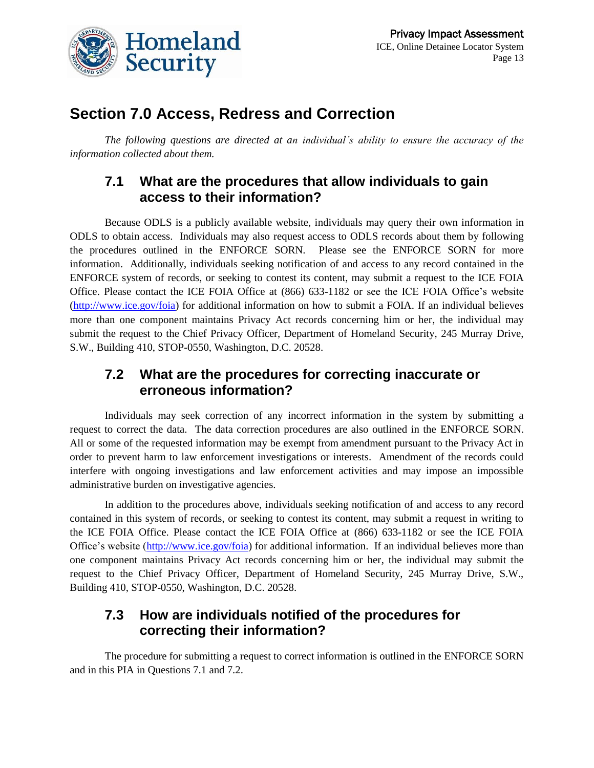

## **Section 7.0 Access, Redress and Correction**

*The following questions are directed at an individual's ability to ensure the accuracy of the information collected about them.*

#### **7.1 What are the procedures that allow individuals to gain access to their information?**

Because ODLS is a publicly available website, individuals may query their own information in ODLS to obtain access. Individuals may also request access to ODLS records about them by following the procedures outlined in the ENFORCE SORN. Please see the ENFORCE SORN for more information. Additionally, individuals seeking notification of and access to any record contained in the ENFORCE system of records, or seeking to contest its content, may submit a request to the ICE FOIA Office. Please contact the ICE FOIA Office at (866) 633-1182 or see the ICE FOIA Office's website [\(http://www.ice.gov/foia\)](http://www.ice.gov/foia) for additional information on how to submit a FOIA. If an individual believes more than one component maintains Privacy Act records concerning him or her, the individual may submit the request to the Chief Privacy Officer, Department of Homeland Security, 245 Murray Drive, S.W., Building 410, STOP-0550, Washington, D.C. 20528.

#### **7.2 What are the procedures for correcting inaccurate or erroneous information?**

Individuals may seek correction of any incorrect information in the system by submitting a request to correct the data. The data correction procedures are also outlined in the ENFORCE SORN. All or some of the requested information may be exempt from amendment pursuant to the Privacy Act in order to prevent harm to law enforcement investigations or interests. Amendment of the records could interfere with ongoing investigations and law enforcement activities and may impose an impossible administrative burden on investigative agencies.

In addition to the procedures above, individuals seeking notification of and access to any record contained in this system of records, or seeking to contest its content, may submit a request in writing to the ICE FOIA Office. Please contact the ICE FOIA Office at (866) 633-1182 or see the ICE FOIA Office's website [\(http://www.ice.gov/foia\)](http://www.ice.gov/foia) for additional information. If an individual believes more than one component maintains Privacy Act records concerning him or her, the individual may submit the request to the Chief Privacy Officer, Department of Homeland Security, 245 Murray Drive, S.W., Building 410, STOP-0550, Washington, D.C. 20528.

#### **7.3 How are individuals notified of the procedures for correcting their information?**

The procedure for submitting a request to correct information is outlined in the ENFORCE SORN and in this PIA in Questions 7.1 and 7.2.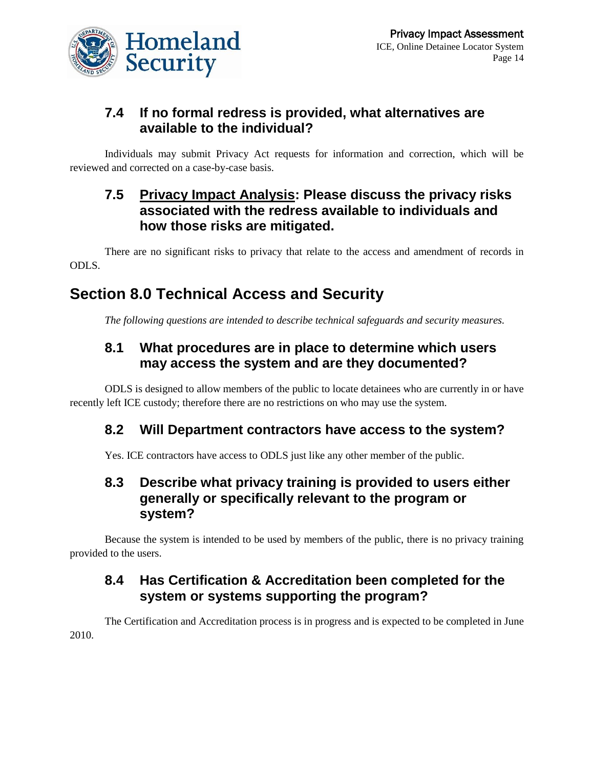

#### **7.4 If no formal redress is provided, what alternatives are available to the individual?**

Individuals may submit Privacy Act requests for information and correction, which will be reviewed and corrected on a case-by-case basis.

#### **7.5 Privacy Impact Analysis: Please discuss the privacy risks associated with the redress available to individuals and how those risks are mitigated.**

There are no significant risks to privacy that relate to the access and amendment of records in ODLS.

# **Section 8.0 Technical Access and Security**

*The following questions are intended to describe technical safeguards and security measures.*

#### **8.1 What procedures are in place to determine which users may access the system and are they documented?**

ODLS is designed to allow members of the public to locate detainees who are currently in or have recently left ICE custody; therefore there are no restrictions on who may use the system.

#### **8.2 Will Department contractors have access to the system?**

Yes. ICE contractors have access to ODLS just like any other member of the public.

#### **8.3 Describe what privacy training is provided to users either generally or specifically relevant to the program or system?**

Because the system is intended to be used by members of the public, there is no privacy training provided to the users.

### **8.4 Has Certification & Accreditation been completed for the system or systems supporting the program?**

The Certification and Accreditation process is in progress and is expected to be completed in June 2010.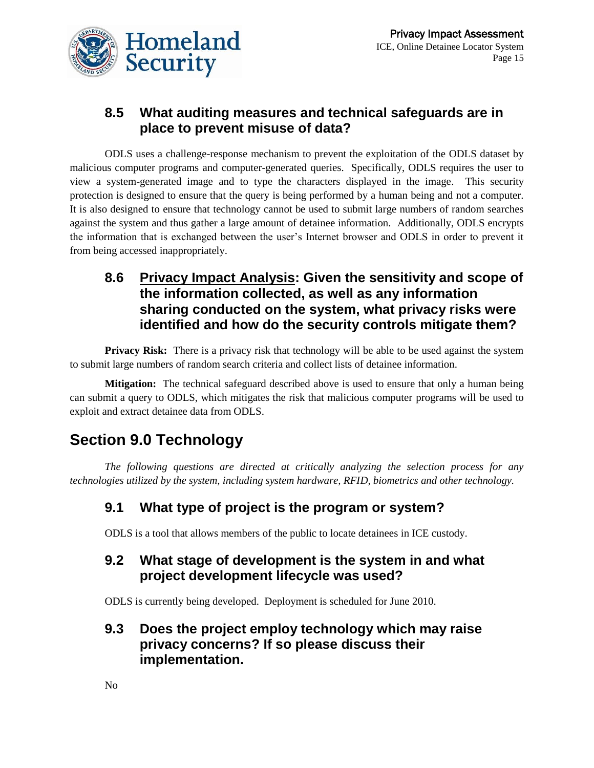

#### **8.5 What auditing measures and technical safeguards are in place to prevent misuse of data?**

ODLS uses a challenge-response mechanism to prevent the exploitation of the ODLS dataset by malicious computer programs and computer-generated queries. Specifically, ODLS requires the user to view a system-generated image and to type the characters displayed in the image. This security protection is designed to ensure that the query is being performed by a human being and not a computer. It is also designed to ensure that technology cannot be used to submit large numbers of random searches against the system and thus gather a large amount of detainee information. Additionally, ODLS encrypts the information that is exchanged between the user's Internet browser and ODLS in order to prevent it from being accessed inappropriately.

#### **8.6 Privacy Impact Analysis: Given the sensitivity and scope of the information collected, as well as any information sharing conducted on the system, what privacy risks were identified and how do the security controls mitigate them?**

**Privacy Risk:** There is a privacy risk that technology will be able to be used against the system to submit large numbers of random search criteria and collect lists of detainee information.

**Mitigation:** The technical safeguard described above is used to ensure that only a human being can submit a query to ODLS, which mitigates the risk that malicious computer programs will be used to exploit and extract detainee data from ODLS.

## **Section 9.0 Technology**

*The following questions are directed at critically analyzing the selection process for any technologies utilized by the system, including system hardware, RFID, biometrics and other technology.* 

### **9.1 What type of project is the program or system?**

ODLS is a tool that allows members of the public to locate detainees in ICE custody.

#### **9.2 What stage of development is the system in and what project development lifecycle was used?**

ODLS is currently being developed. Deployment is scheduled for June 2010.

#### **9.3 Does the project employ technology which may raise privacy concerns? If so please discuss their implementation.**

No